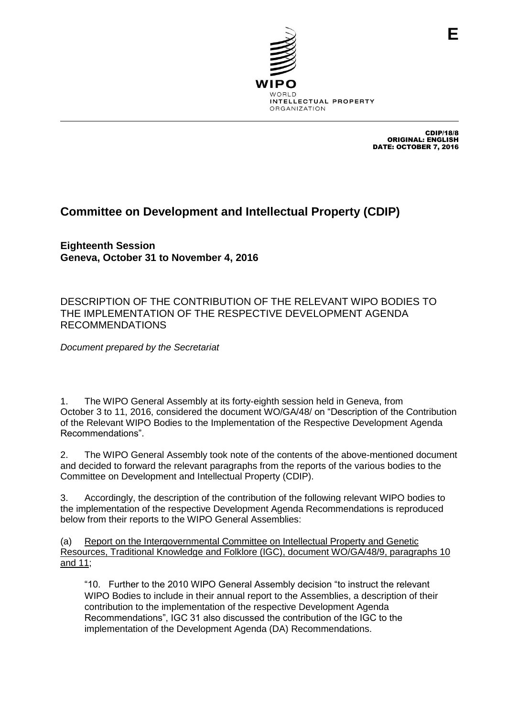

CDIP/18/8 ORIGINAL: ENGLISH DATE: OCTOBER 7, 2016

## **Committee on Development and Intellectual Property (CDIP)**

**Eighteenth Session Geneva, October 31 to November 4, 2016**

DESCRIPTION OF THE CONTRIBUTION OF THE RELEVANT WIPO BODIES TO THE IMPLEMENTATION OF THE RESPECTIVE DEVELOPMENT AGENDA RECOMMENDATIONS

*Document prepared by the Secretariat*

1. The WIPO General Assembly at its forty-eighth session held in Geneva, from October 3 to 11, 2016, considered the document WO/GA/48/ on "Description of the Contribution of the Relevant WIPO Bodies to the Implementation of the Respective Development Agenda Recommendations".

2. The WIPO General Assembly took note of the contents of the above-mentioned document and decided to forward the relevant paragraphs from the reports of the various bodies to the Committee on Development and Intellectual Property (CDIP).

3. Accordingly, the description of the contribution of the following relevant WIPO bodies to the implementation of the respective Development Agenda Recommendations is reproduced below from their reports to the WIPO General Assemblies:

(a) Report on the Intergovernmental Committee on Intellectual Property and Genetic Resources, Traditional Knowledge and Folklore (IGC), document WO/GA/48/9, paragraphs 10 and 11;

"10. Further to the 2010 WIPO General Assembly decision "to instruct the relevant WIPO Bodies to include in their annual report to the Assemblies, a description of their contribution to the implementation of the respective Development Agenda Recommendations", IGC 31 also discussed the contribution of the IGC to the implementation of the Development Agenda (DA) Recommendations.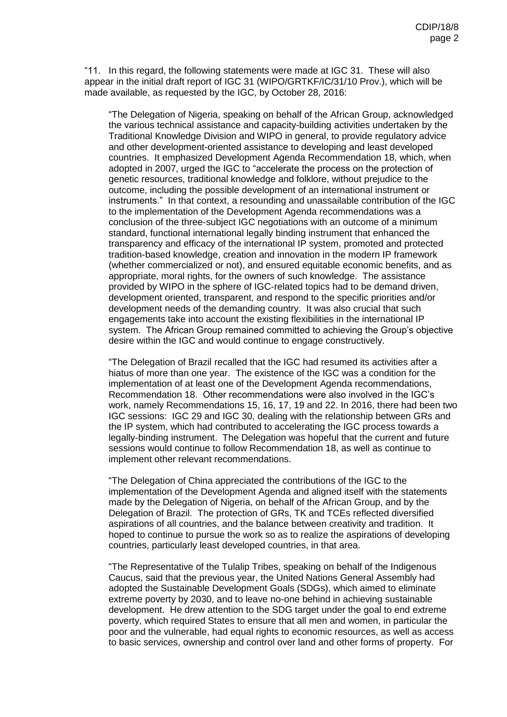"11. In this regard, the following statements were made at IGC 31. These will also appear in the initial draft report of IGC 31 (WIPO/GRTKF/IC/31/10 Prov.), which will be made available, as requested by the IGC, by October 28, 2016:

"The Delegation of Nigeria, speaking on behalf of the African Group, acknowledged the various technical assistance and capacity-building activities undertaken by the Traditional Knowledge Division and WIPO in general, to provide regulatory advice and other development-oriented assistance to developing and least developed countries. It emphasized Development Agenda Recommendation 18, which, when adopted in 2007, urged the IGC to "accelerate the process on the protection of genetic resources, traditional knowledge and folklore, without prejudice to the outcome, including the possible development of an international instrument or instruments." In that context, a resounding and unassailable contribution of the IGC to the implementation of the Development Agenda recommendations was a conclusion of the three-subject IGC negotiations with an outcome of a minimum standard, functional international legally binding instrument that enhanced the transparency and efficacy of the international IP system, promoted and protected tradition-based knowledge, creation and innovation in the modern IP framework (whether commercialized or not), and ensured equitable economic benefits, and as appropriate, moral rights, for the owners of such knowledge. The assistance provided by WIPO in the sphere of IGC-related topics had to be demand driven, development oriented, transparent, and respond to the specific priorities and/or development needs of the demanding country. It was also crucial that such engagements take into account the existing flexibilities in the international IP system. The African Group remained committed to achieving the Group's objective desire within the IGC and would continue to engage constructively.

"The Delegation of Brazil recalled that the IGC had resumed its activities after a hiatus of more than one year. The existence of the IGC was a condition for the implementation of at least one of the Development Agenda recommendations, Recommendation 18. Other recommendations were also involved in the IGC's work, namely Recommendations 15, 16, 17, 19 and 22. In 2016, there had been two IGC sessions: IGC 29 and IGC 30, dealing with the relationship between GRs and the IP system, which had contributed to accelerating the IGC process towards a legally-binding instrument. The Delegation was hopeful that the current and future sessions would continue to follow Recommendation 18, as well as continue to implement other relevant recommendations.

"The Delegation of China appreciated the contributions of the IGC to the implementation of the Development Agenda and aligned itself with the statements made by the Delegation of Nigeria, on behalf of the African Group, and by the Delegation of Brazil. The protection of GRs, TK and TCEs reflected diversified aspirations of all countries, and the balance between creativity and tradition. It hoped to continue to pursue the work so as to realize the aspirations of developing countries, particularly least developed countries, in that area.

"The Representative of the Tulalip Tribes, speaking on behalf of the Indigenous Caucus, said that the previous year, the United Nations General Assembly had adopted the Sustainable Development Goals (SDGs), which aimed to eliminate extreme poverty by 2030, and to leave no-one behind in achieving sustainable development. He drew attention to the SDG target under the goal to end extreme poverty, which required States to ensure that all men and women, in particular the poor and the vulnerable, had equal rights to economic resources, as well as access to basic services, ownership and control over land and other forms of property. For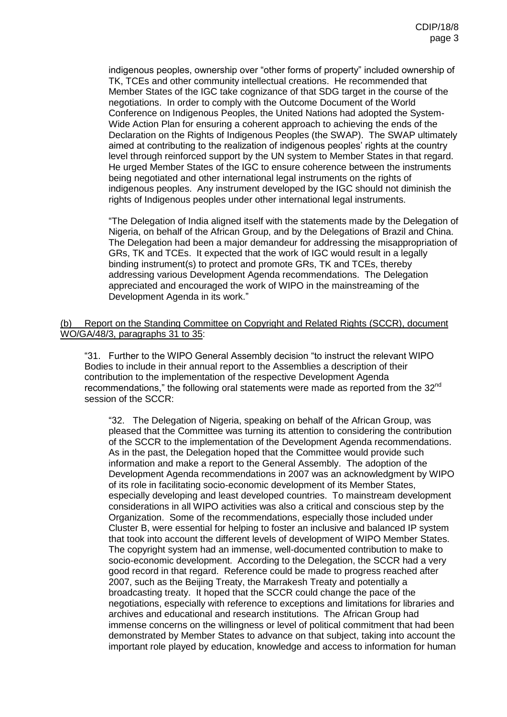indigenous peoples, ownership over "other forms of property" included ownership of TK, TCEs and other community intellectual creations. He recommended that Member States of the IGC take cognizance of that SDG target in the course of the negotiations. In order to comply with the Outcome Document of the World Conference on Indigenous Peoples, the United Nations had adopted the System-Wide Action Plan for ensuring a coherent approach to achieving the ends of the Declaration on the Rights of Indigenous Peoples (the SWAP). The SWAP ultimately aimed at contributing to the realization of indigenous peoples' rights at the country level through reinforced support by the UN system to Member States in that regard. He urged Member States of the IGC to ensure coherence between the instruments being negotiated and other international legal instruments on the rights of indigenous peoples. Any instrument developed by the IGC should not diminish the rights of Indigenous peoples under other international legal instruments.

"The Delegation of India aligned itself with the statements made by the Delegation of Nigeria, on behalf of the African Group, and by the Delegations of Brazil and China. The Delegation had been a major demandeur for addressing the misappropriation of GRs, TK and TCEs. It expected that the work of IGC would result in a legally binding instrument(s) to protect and promote GRs, TK and TCEs, thereby addressing various Development Agenda recommendations. The Delegation appreciated and encouraged the work of WIPO in the mainstreaming of the Development Agenda in its work."

## Report on the Standing Committee on Copyright and Related Rights (SCCR), document WO/GA/48/3, paragraphs 31 to 35:

"31. Further to the WIPO General Assembly decision "to instruct the relevant WIPO Bodies to include in their annual report to the Assemblies a description of their contribution to the implementation of the respective Development Agenda recommendations," the following oral statements were made as reported from the 32<sup>nd</sup> session of the SCCR:

"32. The Delegation of Nigeria, speaking on behalf of the African Group, was pleased that the Committee was turning its attention to considering the contribution of the SCCR to the implementation of the Development Agenda recommendations. As in the past, the Delegation hoped that the Committee would provide such information and make a report to the General Assembly. The adoption of the Development Agenda recommendations in 2007 was an acknowledgment by WIPO of its role in facilitating socio-economic development of its Member States, especially developing and least developed countries. To mainstream development considerations in all WIPO activities was also a critical and conscious step by the Organization. Some of the recommendations, especially those included under Cluster B, were essential for helping to foster an inclusive and balanced IP system that took into account the different levels of development of WIPO Member States. The copyright system had an immense, well-documented contribution to make to socio-economic development. According to the Delegation, the SCCR had a very good record in that regard. Reference could be made to progress reached after 2007, such as the Beijing Treaty, the Marrakesh Treaty and potentially a broadcasting treaty. It hoped that the SCCR could change the pace of the negotiations, especially with reference to exceptions and limitations for libraries and archives and educational and research institutions. The African Group had immense concerns on the willingness or level of political commitment that had been demonstrated by Member States to advance on that subject, taking into account the important role played by education, knowledge and access to information for human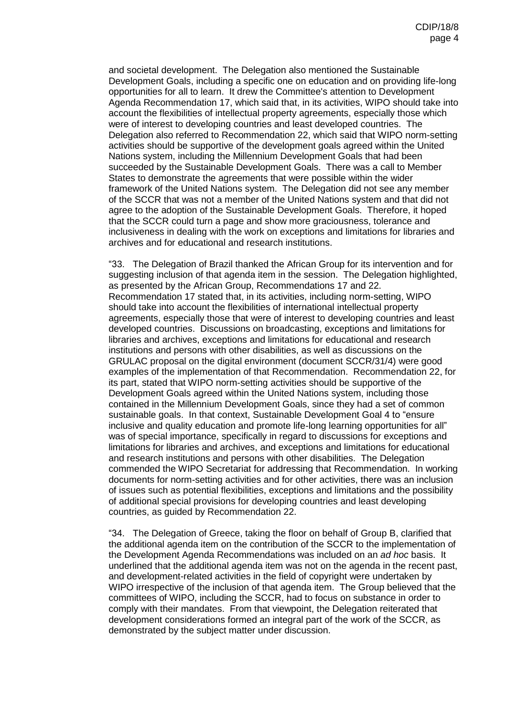and societal development. The Delegation also mentioned the Sustainable Development Goals, including a specific one on education and on providing life-long opportunities for all to learn. It drew the Committee's attention to Development Agenda Recommendation 17, which said that, in its activities, WIPO should take into account the flexibilities of intellectual property agreements, especially those which were of interest to developing countries and least developed countries. The Delegation also referred to Recommendation 22, which said that WIPO norm-setting activities should be supportive of the development goals agreed within the United Nations system, including the Millennium Development Goals that had been succeeded by the Sustainable Development Goals. There was a call to Member States to demonstrate the agreements that were possible within the wider framework of the United Nations system. The Delegation did not see any member of the SCCR that was not a member of the United Nations system and that did not agree to the adoption of the Sustainable Development Goals. Therefore, it hoped that the SCCR could turn a page and show more graciousness, tolerance and inclusiveness in dealing with the work on exceptions and limitations for libraries and archives and for educational and research institutions.

"33. The Delegation of Brazil thanked the African Group for its intervention and for suggesting inclusion of that agenda item in the session. The Delegation highlighted, as presented by the African Group, Recommendations 17 and 22. Recommendation 17 stated that, in its activities, including norm-setting, WIPO should take into account the flexibilities of international intellectual property agreements, especially those that were of interest to developing countries and least developed countries. Discussions on broadcasting, exceptions and limitations for libraries and archives, exceptions and limitations for educational and research institutions and persons with other disabilities, as well as discussions on the GRULAC proposal on the digital environment (document SCCR/31/4) were good examples of the implementation of that Recommendation. Recommendation 22, for its part, stated that WIPO norm-setting activities should be supportive of the Development Goals agreed within the United Nations system, including those contained in the Millennium Development Goals, since they had a set of common sustainable goals. In that context, Sustainable Development Goal 4 to "ensure inclusive and quality education and promote life-long learning opportunities for all" was of special importance, specifically in regard to discussions for exceptions and limitations for libraries and archives, and exceptions and limitations for educational and research institutions and persons with other disabilities. The Delegation commended the WIPO Secretariat for addressing that Recommendation. In working documents for norm-setting activities and for other activities, there was an inclusion of issues such as potential flexibilities, exceptions and limitations and the possibility of additional special provisions for developing countries and least developing countries, as guided by Recommendation 22.

"34. The Delegation of Greece, taking the floor on behalf of Group B, clarified that the additional agenda item on the contribution of the SCCR to the implementation of the Development Agenda Recommendations was included on an *ad hoc* basis. It underlined that the additional agenda item was not on the agenda in the recent past, and development-related activities in the field of copyright were undertaken by WIPO irrespective of the inclusion of that agenda item. The Group believed that the committees of WIPO, including the SCCR, had to focus on substance in order to comply with their mandates. From that viewpoint, the Delegation reiterated that development considerations formed an integral part of the work of the SCCR, as demonstrated by the subject matter under discussion.